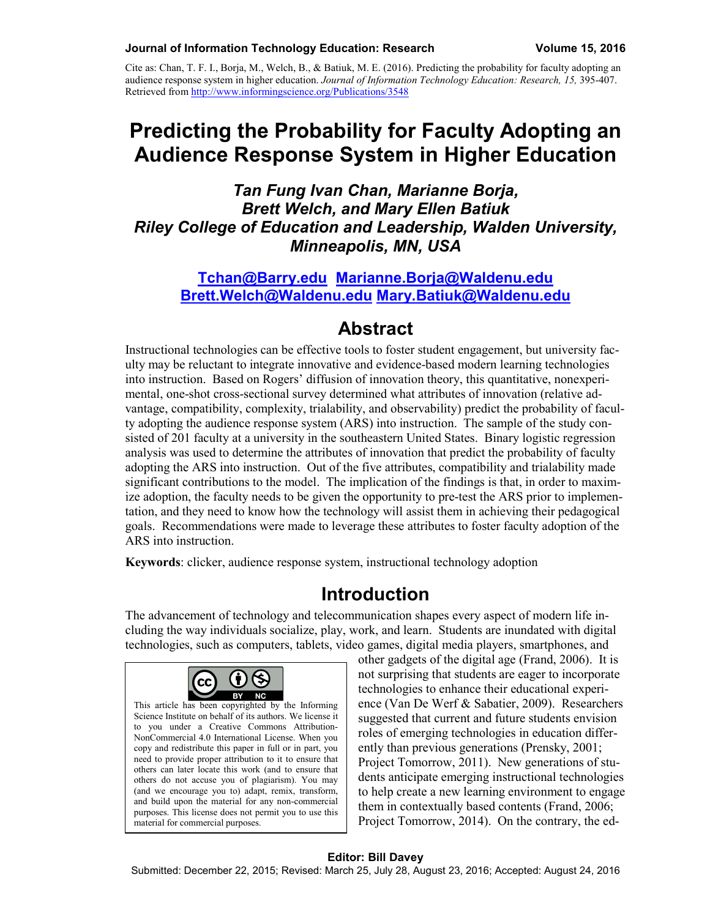Cite as: Chan, T. F. I., Borja, M., Welch, B., & Batiuk, M. E. (2016). Predicting the probability for faculty adopting an audience response system in higher education. *Journal of Information Technology Education: Research, 15,* 395-407. Retrieved from<http://www.informingscience.org/Publications/3548>

# **Predicting the Probability for Faculty Adopting an Audience Response System in Higher Education**

*Tan Fung Ivan Chan, Marianne Borja, Brett Welch, and Mary Ellen Batiuk Riley College of Education and Leadership, Walden University, Minneapolis, MN, USA*

**[Tchan@Barry.edu](mailto:Tchan@Barry.edu) [Marianne.Borja@Waldenu.edu](mailto:Marianne.Borja@Waldenu.edu) [Brett.Welch@Waldenu.edu](mailto:Brett.Welch@Waldenu.edu) Mary.Batiuk@Waldenu.edu**

### **Abstract**

Instructional technologies can be effective tools to foster student engagement, but university faculty may be reluctant to integrate innovative and evidence-based modern learning technologies into instruction. Based on Rogers' diffusion of innovation theory, this quantitative, nonexperimental, one-shot cross-sectional survey determined what attributes of innovation (relative advantage, compatibility, complexity, trialability, and observability) predict the probability of faculty adopting the audience response system (ARS) into instruction. The sample of the study consisted of 201 faculty at a university in the southeastern United States. Binary logistic regression analysis was used to determine the attributes of innovation that predict the probability of faculty adopting the ARS into instruction. Out of the five attributes, compatibility and trialability made significant contributions to the model. The implication of the findings is that, in order to maximize adoption, the faculty needs to be given the opportunity to pre-test the ARS prior to implementation, and they need to know how the technology will assist them in achieving their pedagogical goals. Recommendations were made to leverage these attributes to foster faculty adoption of the ARS into instruction.

**Keywords**: clicker, audience response system, instructional technology adoption

### **Introduction**

The advancement of technology and telecommunication shapes every aspect of modern life including the way individuals socialize, play, work, and learn. Students are inundated with digital technologies, such as computers, tablets, video games, digital media players, smartphones, and



This article has been copyrighted by the Informing Science Institute on behalf of its authors. We license it to you under a Creative Commons Attribution-NonCommercial 4.0 International License. When you copy and redistribute this paper in full or in part, you need to provide proper attribution to it to ensure that others can later locate this work (and to ensure that others do not accuse you of plagiarism). You may (and we encourage you to) adapt, remix, transform, and build upon the material for any non-commercial purposes. This license does not permit you to use this material for commercial purposes.

other gadgets of the digital age (Frand, 2006). It is not surprising that students are eager to incorporate technologies to enhance their educational experience (Van De Werf & Sabatier, 2009). Researchers suggested that current and future students envision roles of emerging technologies in education differently than previous generations (Prensky, 2001; Project Tomorrow, 2011). New generations of students anticipate emerging instructional technologies to help create a new learning environment to engage them in contextually based contents (Frand, 2006; Project Tomorrow, 2014). On the contrary, the ed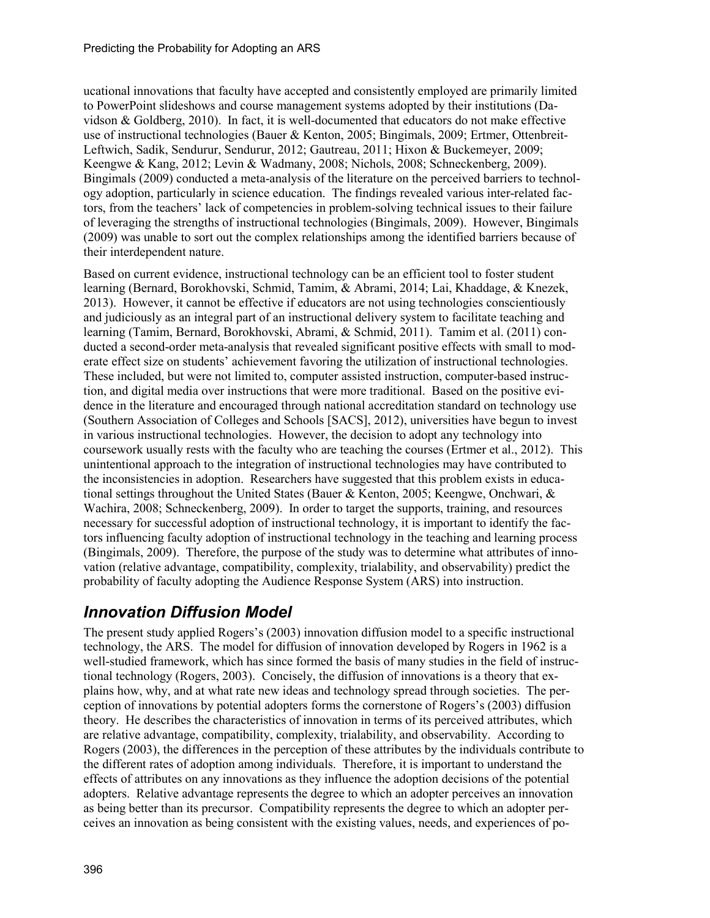ucational innovations that faculty have accepted and consistently employed are primarily limited to PowerPoint slideshows and course management systems adopted by their institutions (Davidson & Goldberg, 2010). In fact, it is well-documented that educators do not make effective use of instructional technologies (Bauer & Kenton, 2005; Bingimals, 2009; Ertmer, Ottenbreit-Leftwich, Sadik, Sendurur, Sendurur, 2012; Gautreau, 2011; Hixon & Buckemeyer, 2009; Keengwe & Kang, 2012; Levin & Wadmany, 2008; Nichols, 2008; Schneckenberg, 2009). Bingimals (2009) conducted a meta-analysis of the literature on the perceived barriers to technology adoption, particularly in science education. The findings revealed various inter-related factors, from the teachers' lack of competencies in problem-solving technical issues to their failure of leveraging the strengths of instructional technologies (Bingimals, 2009). However, Bingimals (2009) was unable to sort out the complex relationships among the identified barriers because of their interdependent nature.

Based on current evidence, instructional technology can be an efficient tool to foster student learning (Bernard, Borokhovski, Schmid, Tamim, & Abrami, 2014; Lai, Khaddage, & Knezek, 2013). However, it cannot be effective if educators are not using technologies conscientiously and judiciously as an integral part of an instructional delivery system to facilitate teaching and learning (Tamim, Bernard, Borokhovski, Abrami, & Schmid, 2011). Tamim et al. (2011) conducted a second-order meta-analysis that revealed significant positive effects with small to moderate effect size on students' achievement favoring the utilization of instructional technologies. These included, but were not limited to, computer assisted instruction, computer-based instruction, and digital media over instructions that were more traditional. Based on the positive evidence in the literature and encouraged through national accreditation standard on technology use (Southern Association of Colleges and Schools [SACS], 2012), universities have begun to invest in various instructional technologies. However, the decision to adopt any technology into coursework usually rests with the faculty who are teaching the courses (Ertmer et al., 2012). This unintentional approach to the integration of instructional technologies may have contributed to the inconsistencies in adoption. Researchers have suggested that this problem exists in educational settings throughout the United States (Bauer & Kenton, 2005; Keengwe, Onchwari, & Wachira, 2008; Schneckenberg, 2009). In order to target the supports, training, and resources necessary for successful adoption of instructional technology, it is important to identify the factors influencing faculty adoption of instructional technology in the teaching and learning process (Bingimals, 2009). Therefore, the purpose of the study was to determine what attributes of innovation (relative advantage, compatibility, complexity, trialability, and observability) predict the probability of faculty adopting the Audience Response System (ARS) into instruction.

### *Innovation Diffusion Model*

The present study applied Rogers's (2003) innovation diffusion model to a specific instructional technology, the ARS. The model for diffusion of innovation developed by Rogers in 1962 is a well-studied framework, which has since formed the basis of many studies in the field of instructional technology (Rogers, 2003). Concisely, the diffusion of innovations is a theory that explains how, why, and at what rate new ideas and technology spread through societies. The perception of innovations by potential adopters forms the cornerstone of Rogers's (2003) diffusion theory. He describes the characteristics of innovation in terms of its perceived attributes, which are relative advantage, compatibility, complexity, trialability, and observability. According to Rogers (2003), the differences in the perception of these attributes by the individuals contribute to the different rates of adoption among individuals. Therefore, it is important to understand the effects of attributes on any innovations as they influence the adoption decisions of the potential adopters. Relative advantage represents the degree to which an adopter perceives an innovation as being better than its precursor. Compatibility represents the degree to which an adopter perceives an innovation as being consistent with the existing values, needs, and experiences of po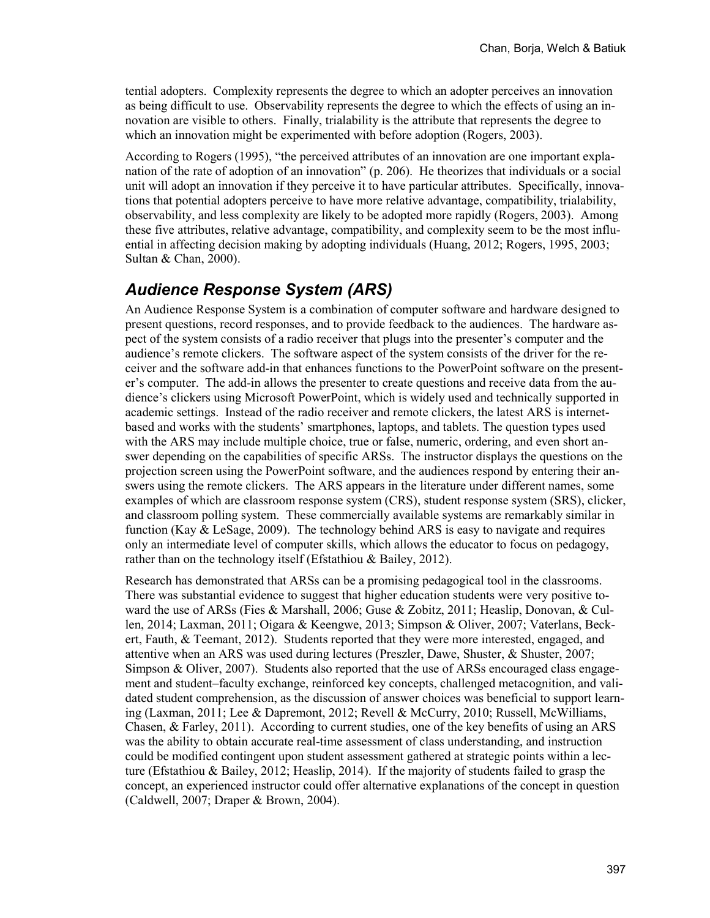tential adopters. Complexity represents the degree to which an adopter perceives an innovation as being difficult to use. Observability represents the degree to which the effects of using an innovation are visible to others. Finally, trialability is the attribute that represents the degree to which an innovation might be experimented with before adoption (Rogers, 2003).

According to Rogers (1995), "the perceived attributes of an innovation are one important explanation of the rate of adoption of an innovation" (p. 206). He theorizes that individuals or a social unit will adopt an innovation if they perceive it to have particular attributes. Specifically, innovations that potential adopters perceive to have more relative advantage, compatibility, trialability, observability, and less complexity are likely to be adopted more rapidly (Rogers, 2003). Among these five attributes, relative advantage, compatibility, and complexity seem to be the most influential in affecting decision making by adopting individuals (Huang, 2012; Rogers, 1995, 2003; Sultan & Chan, 2000).

#### *Audience Response System (ARS)*

An Audience Response System is a combination of computer software and hardware designed to present questions, record responses, and to provide feedback to the audiences. The hardware aspect of the system consists of a radio receiver that plugs into the presenter's computer and the audience's remote clickers. The software aspect of the system consists of the driver for the receiver and the software add-in that enhances functions to the PowerPoint software on the presenter's computer. The add-in allows the presenter to create questions and receive data from the audience's clickers using Microsoft PowerPoint, which is widely used and technically supported in academic settings. Instead of the radio receiver and remote clickers, the latest ARS is internetbased and works with the students' smartphones, laptops, and tablets. The question types used with the ARS may include multiple choice, true or false, numeric, ordering, and even short answer depending on the capabilities of specific ARSs. The instructor displays the questions on the projection screen using the PowerPoint software, and the audiences respond by entering their answers using the remote clickers. The ARS appears in the literature under different names, some examples of which are classroom response system (CRS), student response system (SRS), clicker, and classroom polling system. These commercially available systems are remarkably similar in function (Kay & LeSage, 2009). The technology behind ARS is easy to navigate and requires only an intermediate level of computer skills, which allows the educator to focus on pedagogy, rather than on the technology itself (Efstathiou & Bailey, 2012).

Research has demonstrated that ARSs can be a promising pedagogical tool in the classrooms. There was substantial evidence to suggest that higher education students were very positive toward the use of ARSs (Fies & Marshall, 2006; Guse & Zobitz, 2011; Heaslip, Donovan, & Cullen, 2014; Laxman, 2011; Oigara & Keengwe, 2013; Simpson & Oliver, 2007; Vaterlans, Beckert, Fauth, & Teemant, 2012). Students reported that they were more interested, engaged, and attentive when an ARS was used during lectures (Preszler, Dawe, Shuster, & Shuster, 2007; Simpson & Oliver, 2007). Students also reported that the use of ARSs encouraged class engagement and student–faculty exchange, reinforced key concepts, challenged metacognition, and validated student comprehension, as the discussion of answer choices was beneficial to support learning (Laxman, 2011; Lee & Dapremont, 2012; Revell & McCurry, 2010; Russell, McWilliams, Chasen, & Farley, 2011). According to current studies, one of the key benefits of using an ARS was the ability to obtain accurate real-time assessment of class understanding, and instruction could be modified contingent upon student assessment gathered at strategic points within a lecture (Efstathiou & Bailey, 2012; Heaslip, 2014). If the majority of students failed to grasp the concept, an experienced instructor could offer alternative explanations of the concept in question (Caldwell, 2007; Draper & Brown, 2004).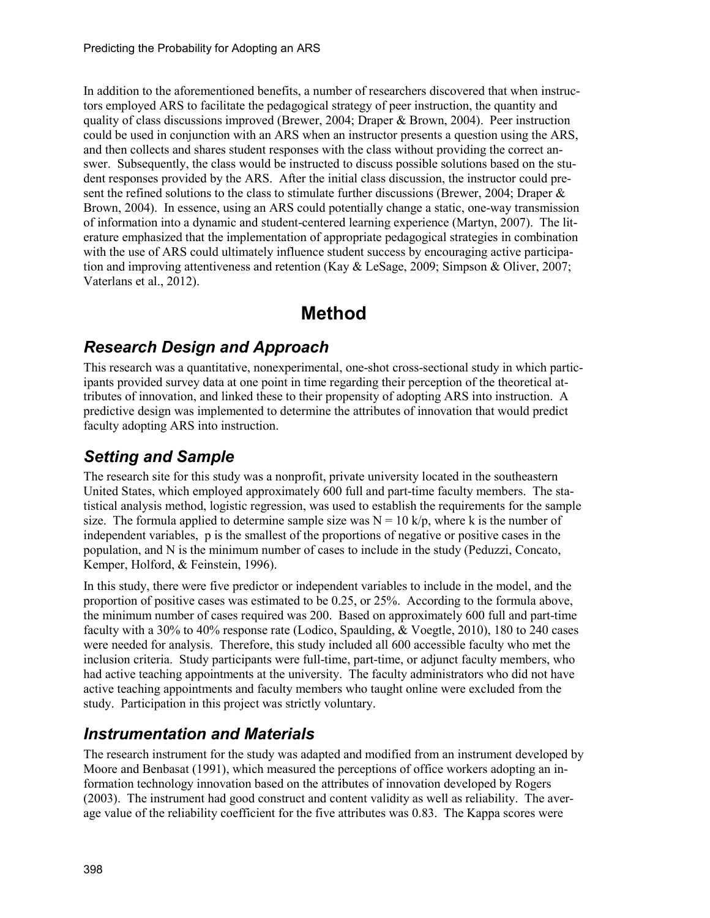In addition to the aforementioned benefits, a number of researchers discovered that when instructors employed ARS to facilitate the pedagogical strategy of peer instruction, the quantity and quality of class discussions improved (Brewer, 2004; Draper & Brown, 2004). Peer instruction could be used in conjunction with an ARS when an instructor presents a question using the ARS, and then collects and shares student responses with the class without providing the correct answer. Subsequently, the class would be instructed to discuss possible solutions based on the student responses provided by the ARS. After the initial class discussion, the instructor could present the refined solutions to the class to stimulate further discussions (Brewer, 2004; Draper & Brown, 2004). In essence, using an ARS could potentially change a static, one-way transmission of information into a dynamic and student-centered learning experience (Martyn, 2007). The literature emphasized that the implementation of appropriate pedagogical strategies in combination with the use of ARS could ultimately influence student success by encouraging active participation and improving attentiveness and retention (Kay & LeSage, 2009; Simpson & Oliver, 2007; Vaterlans et al., 2012).

# **Method**

#### *Research Design and Approach*

This research was a quantitative, nonexperimental, one-shot cross-sectional study in which participants provided survey data at one point in time regarding their perception of the theoretical attributes of innovation, and linked these to their propensity of adopting ARS into instruction. A predictive design was implemented to determine the attributes of innovation that would predict faculty adopting ARS into instruction.

### *Setting and Sample*

The research site for this study was a nonprofit, private university located in the southeastern United States, which employed approximately 600 full and part-time faculty members. The statistical analysis method, logistic regression, was used to establish the requirements for the sample size. The formula applied to determine sample size was  $N = 10$  k/p, where k is the number of independent variables, p is the smallest of the proportions of negative or positive cases in the population, and N is the minimum number of cases to include in the study (Peduzzi, Concato, Kemper, Holford, & Feinstein, 1996).

In this study, there were five predictor or independent variables to include in the model, and the proportion of positive cases was estimated to be 0.25, or 25%. According to the formula above, the minimum number of cases required was 200. Based on approximately 600 full and part-time faculty with a 30% to 40% response rate (Lodico, Spaulding, & Voegtle, 2010), 180 to 240 cases were needed for analysis. Therefore, this study included all 600 accessible faculty who met the inclusion criteria. Study participants were full-time, part-time, or adjunct faculty members, who had active teaching appointments at the university. The faculty administrators who did not have active teaching appointments and faculty members who taught online were excluded from the study. Participation in this project was strictly voluntary.

### *Instrumentation and Materials*

The research instrument for the study was adapted and modified from an instrument developed by Moore and Benbasat (1991), which measured the perceptions of office workers adopting an information technology innovation based on the attributes of innovation developed by Rogers (2003). The instrument had good construct and content validity as well as reliability. The average value of the reliability coefficient for the five attributes was 0.83. The Kappa scores were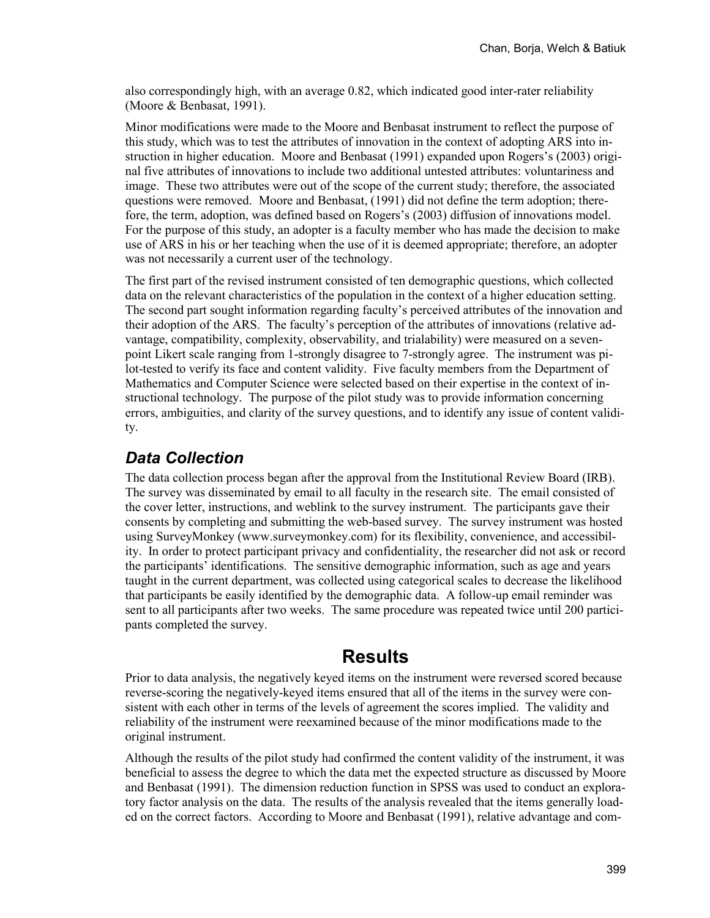also correspondingly high, with an average 0.82, which indicated good inter-rater reliability (Moore & Benbasat, 1991).

Minor modifications were made to the Moore and Benbasat instrument to reflect the purpose of this study, which was to test the attributes of innovation in the context of adopting ARS into instruction in higher education. Moore and Benbasat (1991) expanded upon Rogers's (2003) original five attributes of innovations to include two additional untested attributes: voluntariness and image. These two attributes were out of the scope of the current study; therefore, the associated questions were removed. Moore and Benbasat, (1991) did not define the term adoption; therefore, the term, adoption, was defined based on Rogers's (2003) diffusion of innovations model. For the purpose of this study, an adopter is a faculty member who has made the decision to make use of ARS in his or her teaching when the use of it is deemed appropriate; therefore, an adopter was not necessarily a current user of the technology.

The first part of the revised instrument consisted of ten demographic questions, which collected data on the relevant characteristics of the population in the context of a higher education setting. The second part sought information regarding faculty's perceived attributes of the innovation and their adoption of the ARS. The faculty's perception of the attributes of innovations (relative advantage, compatibility, complexity, observability, and trialability) were measured on a sevenpoint Likert scale ranging from 1-strongly disagree to 7-strongly agree. The instrument was pilot-tested to verify its face and content validity. Five faculty members from the Department of Mathematics and Computer Science were selected based on their expertise in the context of instructional technology. The purpose of the pilot study was to provide information concerning errors, ambiguities, and clarity of the survey questions, and to identify any issue of content validity.

#### *Data Collection*

The data collection process began after the approval from the Institutional Review Board (IRB). The survey was disseminated by email to all faculty in the research site. The email consisted of the cover letter, instructions, and weblink to the survey instrument. The participants gave their consents by completing and submitting the web-based survey. The survey instrument was hosted using SurveyMonkey (www.surveymonkey.com) for its flexibility, convenience, and accessibility. In order to protect participant privacy and confidentiality, the researcher did not ask or record the participants' identifications. The sensitive demographic information, such as age and years taught in the current department, was collected using categorical scales to decrease the likelihood that participants be easily identified by the demographic data. A follow-up email reminder was sent to all participants after two weeks. The same procedure was repeated twice until 200 participants completed the survey.

### **Results**

Prior to data analysis, the negatively keyed items on the instrument were reversed scored because reverse-scoring the negatively-keyed items ensured that all of the items in the survey were consistent with each other in terms of the levels of agreement the scores implied. The validity and reliability of the instrument were reexamined because of the minor modifications made to the original instrument.

Although the results of the pilot study had confirmed the content validity of the instrument, it was beneficial to assess the degree to which the data met the expected structure as discussed by Moore and Benbasat (1991). The dimension reduction function in SPSS was used to conduct an exploratory factor analysis on the data. The results of the analysis revealed that the items generally loaded on the correct factors. According to Moore and Benbasat (1991), relative advantage and com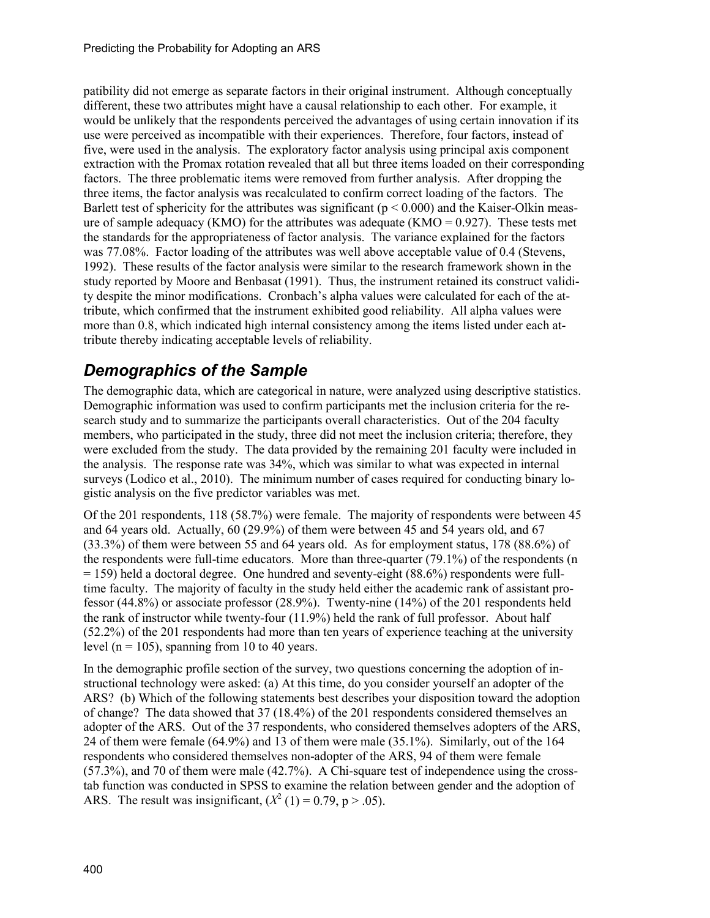patibility did not emerge as separate factors in their original instrument. Although conceptually different, these two attributes might have a causal relationship to each other. For example, it would be unlikely that the respondents perceived the advantages of using certain innovation if its use were perceived as incompatible with their experiences. Therefore, four factors, instead of five, were used in the analysis. The exploratory factor analysis using principal axis component extraction with the Promax rotation revealed that all but three items loaded on their corresponding factors. The three problematic items were removed from further analysis. After dropping the three items, the factor analysis was recalculated to confirm correct loading of the factors. The Barlett test of sphericity for the attributes was significant ( $p \le 0.000$ ) and the Kaiser-Olkin measure of sample adequacy (KMO) for the attributes was adequate (KMO =  $0.927$ ). These tests met the standards for the appropriateness of factor analysis. The variance explained for the factors was 77.08%. Factor loading of the attributes was well above acceptable value of 0.4 (Stevens, 1992). These results of the factor analysis were similar to the research framework shown in the study reported by Moore and Benbasat (1991). Thus, the instrument retained its construct validity despite the minor modifications. Cronbach's alpha values were calculated for each of the attribute, which confirmed that the instrument exhibited good reliability. All alpha values were more than 0.8, which indicated high internal consistency among the items listed under each attribute thereby indicating acceptable levels of reliability.

#### *Demographics of the Sample*

The demographic data, which are categorical in nature, were analyzed using descriptive statistics. Demographic information was used to confirm participants met the inclusion criteria for the research study and to summarize the participants overall characteristics. Out of the 204 faculty members, who participated in the study, three did not meet the inclusion criteria; therefore, they were excluded from the study. The data provided by the remaining 201 faculty were included in the analysis. The response rate was 34%, which was similar to what was expected in internal surveys (Lodico et al., 2010). The minimum number of cases required for conducting binary logistic analysis on the five predictor variables was met.

Of the 201 respondents, 118 (58.7%) were female. The majority of respondents were between 45 and 64 years old. Actually, 60 (29.9%) of them were between 45 and 54 years old, and 67 (33.3%) of them were between 55 and 64 years old. As for employment status, 178 (88.6%) of the respondents were full-time educators. More than three-quarter (79.1%) of the respondents (n  $= 159$ ) held a doctoral degree. One hundred and seventy-eight (88.6%) respondents were fulltime faculty. The majority of faculty in the study held either the academic rank of assistant professor (44.8%) or associate professor (28.9%). Twenty-nine (14%) of the 201 respondents held the rank of instructor while twenty-four (11.9%) held the rank of full professor. About half (52.2%) of the 201 respondents had more than ten years of experience teaching at the university level ( $n = 105$ ), spanning from 10 to 40 years.

In the demographic profile section of the survey, two questions concerning the adoption of instructional technology were asked: (a) At this time, do you consider yourself an adopter of the ARS? (b) Which of the following statements best describes your disposition toward the adoption of change? The data showed that 37 (18.4%) of the 201 respondents considered themselves an adopter of the ARS. Out of the 37 respondents, who considered themselves adopters of the ARS, 24 of them were female (64.9%) and 13 of them were male (35.1%). Similarly, out of the 164 respondents who considered themselves non-adopter of the ARS, 94 of them were female (57.3%), and 70 of them were male (42.7%). A Chi-square test of independence using the crosstab function was conducted in SPSS to examine the relation between gender and the adoption of ARS. The result was insignificant,  $(X^2 (1) = 0.79, p > .05)$ .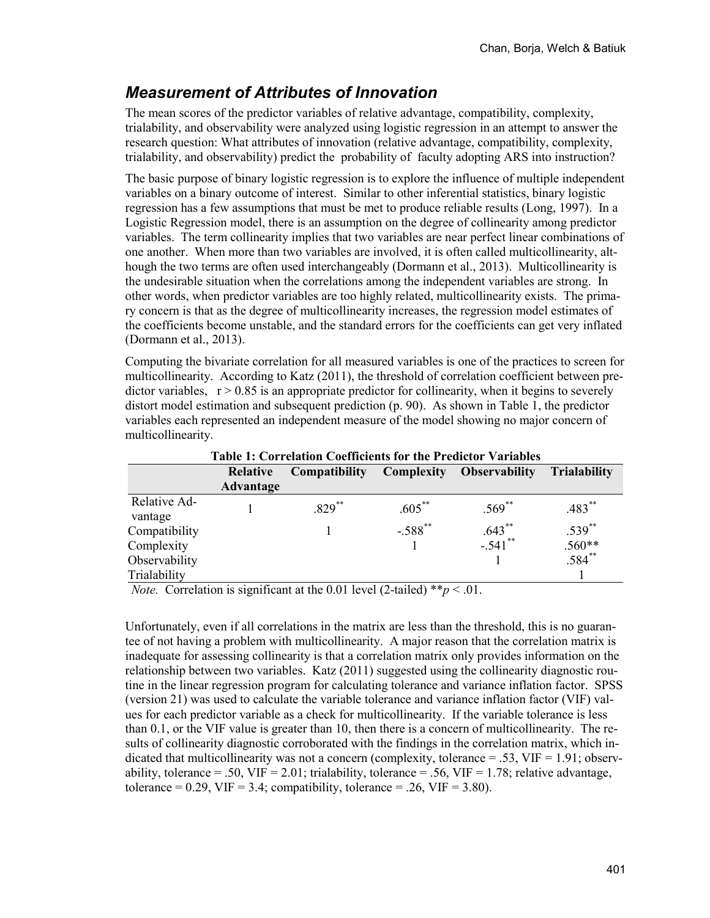## *Measurement of Attributes of Innovation*

The mean scores of the predictor variables of relative advantage, compatibility, complexity, trialability, and observability were analyzed using logistic regression in an attempt to answer the research question: What attributes of innovation (relative advantage, compatibility, complexity, trialability, and observability) predict the probability of faculty adopting ARS into instruction?

The basic purpose of binary logistic regression is to explore the influence of multiple independent variables on a binary outcome of interest. Similar to other inferential statistics, binary logistic regression has a few assumptions that must be met to produce reliable results (Long, 1997). In a Logistic Regression model, there is an assumption on the degree of collinearity among predictor variables. The term collinearity implies that two variables are near perfect linear combinations of one another. When more than two variables are involved, it is often called multicollinearity, although the two terms are often used interchangeably (Dormann et al., 2013). Multicollinearity is the undesirable situation when the correlations among the independent variables are strong. In other words, when predictor variables are too highly related, multicollinearity exists. The primary concern is that as the degree of multicollinearity increases, the regression model estimates of the coefficients become unstable, and the standard errors for the coefficients can get very inflated (Dormann et al., 2013).

Computing the bivariate correlation for all measured variables is one of the practices to screen for multicollinearity. According to Katz (2011), the threshold of correlation coefficient between predictor variables,  $r > 0.85$  is an appropriate predictor for collinearity, when it begins to severely distort model estimation and subsequent prediction (p. 90). As shown in Table 1, the predictor variables each represented an independent measure of the model showing no major concern of multicollinearity.

|               | Table 1: Correlation Coefficients for the Predictor Variables |                      |            |                      |                     |  |  |  |
|---------------|---------------------------------------------------------------|----------------------|------------|----------------------|---------------------|--|--|--|
|               | Relative                                                      | <b>Compatibility</b> | Complexity | <b>Observability</b> | <b>Trialability</b> |  |  |  |
|               | <b>Advantage</b>                                              |                      |            |                      |                     |  |  |  |
| Relative Ad-  |                                                               | $.829**$             | $.605***$  | $.569^{**}$          | $.483**$            |  |  |  |
| vantage       |                                                               |                      |            |                      |                     |  |  |  |
| Compatibility |                                                               |                      | $-.588$ ** | $.643$ **            | $.539**$            |  |  |  |
| Complexity    |                                                               |                      |            | $-.541$ **           | $.560**$            |  |  |  |
| Observability |                                                               |                      |            |                      | $.584$ **           |  |  |  |
| Trialability  |                                                               |                      |            |                      |                     |  |  |  |

**Table 1: Correlation Coefficients for the Predictor Variables**

*Note.* Correlation is significant at the 0.01 level (2-tailed)  $**p < .01$ .

Unfortunately, even if all correlations in the matrix are less than the threshold, this is no guarantee of not having a problem with multicollinearity. A major reason that the correlation matrix is inadequate for assessing collinearity is that a correlation matrix only provides information on the relationship between two variables. Katz (2011) suggested using the collinearity diagnostic routine in the linear regression program for calculating tolerance and variance inflation factor. SPSS (version 21) was used to calculate the variable tolerance and variance inflation factor (VIF) values for each predictor variable as a check for multicollinearity. If the variable tolerance is less than 0.1, or the VIF value is greater than 10, then there is a concern of multicollinearity. The results of collinearity diagnostic corroborated with the findings in the correlation matrix, which indicated that multicollinearity was not a concern (complexity, tolerance  $= .53$ , VIF  $= 1.91$ ; observability, tolerance = .50, VIF = 2.01; trialability, tolerance = .56, VIF = 1.78; relative advantage, tolerance =  $0.29$ , VIF = 3.4; compatibility, tolerance = .26, VIF = 3.80).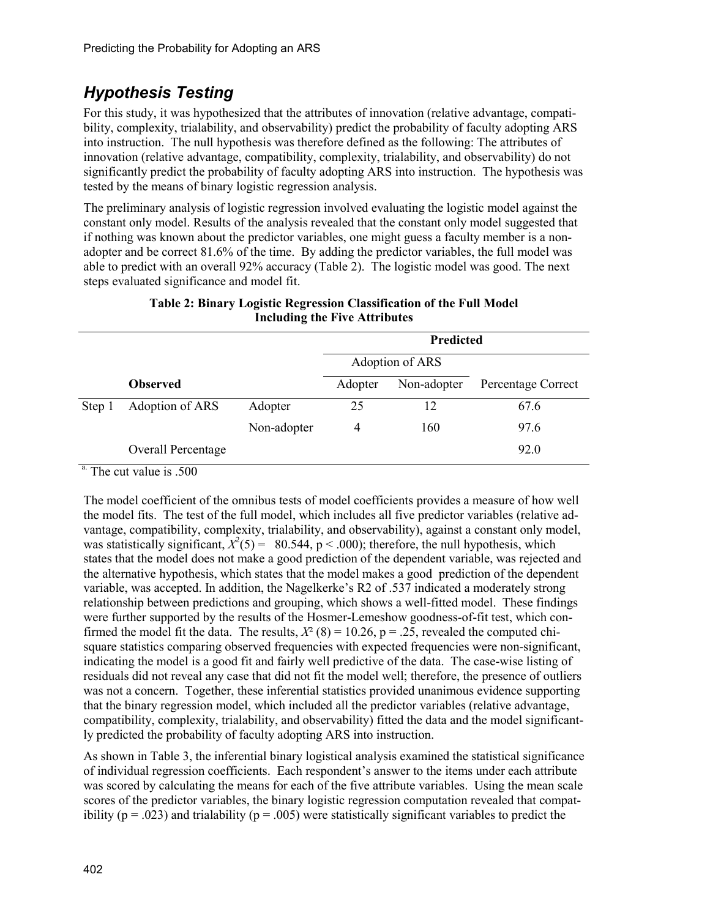# *Hypothesis Testing*

For this study, it was hypothesized that the attributes of innovation (relative advantage, compatibility, complexity, trialability, and observability) predict the probability of faculty adopting ARS into instruction. The null hypothesis was therefore defined as the following: The attributes of innovation (relative advantage, compatibility, complexity, trialability, and observability) do not significantly predict the probability of faculty adopting ARS into instruction. The hypothesis was tested by the means of binary logistic regression analysis.

The preliminary analysis of logistic regression involved evaluating the logistic model against the constant only model. Results of the analysis revealed that the constant only model suggested that if nothing was known about the predictor variables, one might guess a faculty member is a nonadopter and be correct 81.6% of the time. By adding the predictor variables, the full model was able to predict with an overall 92% accuracy (Table 2). The logistic model was good. The next steps evaluated significance and model fit.

|        |                    |             | Predicted |                 |                    |
|--------|--------------------|-------------|-----------|-----------------|--------------------|
|        |                    |             |           | Adoption of ARS |                    |
|        | <b>Observed</b>    |             | Adopter   | Non-adopter     | Percentage Correct |
| Step 1 | Adoption of ARS    | Adopter     | 25        | 12              | 67.6               |
|        |                    | Non-adopter | 4         | 160             | 97.6               |
|        | Overall Percentage |             |           |                 | 92.0               |

#### **Table 2: Binary Logistic Regression Classification of the Full Model Including the Five Attributes**

<sup>a.</sup> The cut value is .500

The model coefficient of the omnibus tests of model coefficients provides a measure of how well the model fits. The test of the full model, which includes all five predictor variables (relative advantage, compatibility, complexity, trialability, and observability), against a constant only model, was statistically significant,  $X^2(5) = 80.544$ , p < .000); therefore, the null hypothesis, which states that the model does not make a good prediction of the dependent variable, was rejected and the alternative hypothesis, which states that the model makes a good prediction of the dependent variable, was accepted. In addition, the Nagelkerke's R2 of .537 indicated a moderately strong relationship between predictions and grouping, which shows a well-fitted model. These findings were further supported by the results of the Hosmer-Lemeshow goodness-of-fit test, which confirmed the model fit the data. The results,  $X^2$  (8) = 10.26, p = .25, revealed the computed chisquare statistics comparing observed frequencies with expected frequencies were non-significant, indicating the model is a good fit and fairly well predictive of the data. The case-wise listing of residuals did not reveal any case that did not fit the model well; therefore, the presence of outliers was not a concern. Together, these inferential statistics provided unanimous evidence supporting that the binary regression model, which included all the predictor variables (relative advantage, compatibility, complexity, trialability, and observability) fitted the data and the model significantly predicted the probability of faculty adopting ARS into instruction.

As shown in Table 3, the inferential binary logistical analysis examined the statistical significance of individual regression coefficients. Each respondent's answer to the items under each attribute was scored by calculating the means for each of the five attribute variables. Using the mean scale scores of the predictor variables, the binary logistic regression computation revealed that compatibility ( $p = .023$ ) and trialability ( $p = .005$ ) were statistically significant variables to predict the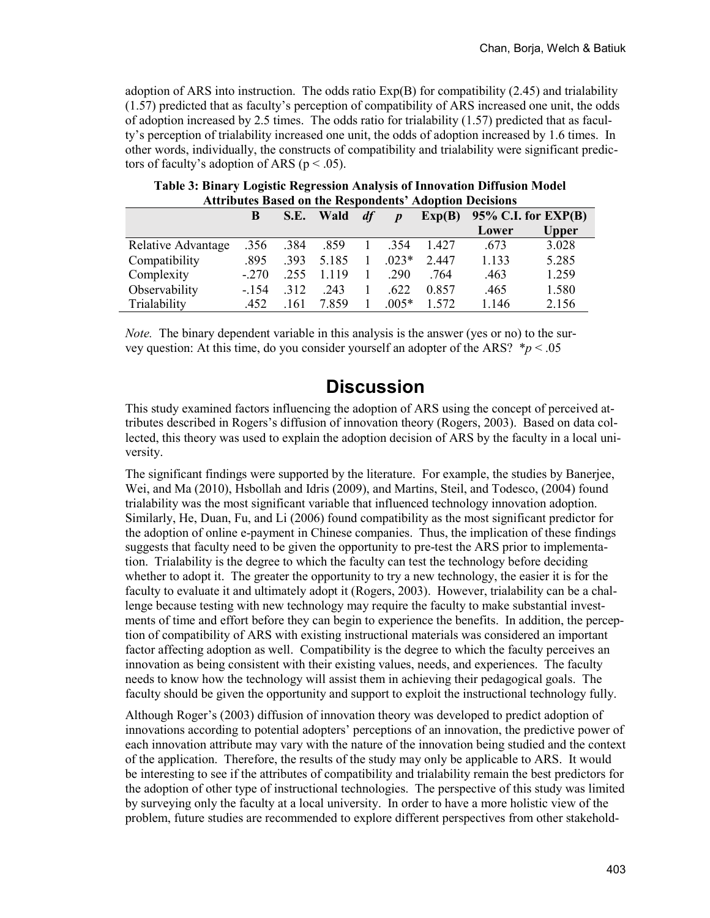adoption of ARS into instruction. The odds ratio  $Exp(B)$  for compatibility (2.45) and trialability (1.57) predicted that as faculty's perception of compatibility of ARS increased one unit, the odds of adoption increased by 2.5 times. The odds ratio for trialability (1.57) predicted that as faculty's perception of trialability increased one unit, the odds of adoption increased by 1.6 times. In other words, individually, the constructs of compatibility and trialability were significant predictors of faculty's adoption of ARS ( $p < .05$ ).

|                    | B       | S.E. | <b>Wald</b> | df | $\boldsymbol{D}$ |       | $Exp(B)$ 95% C.I. for $EXP(B)$ |              |
|--------------------|---------|------|-------------|----|------------------|-------|--------------------------------|--------------|
|                    |         |      |             |    |                  |       | Lower                          | <b>Upper</b> |
| Relative Advantage | .356    | .384 | .859        |    | 1 .354           | 1.427 | .673                           | 3.028        |
| Compatibility      | .895    | .393 | 5.185       |    | $.023*$          | 2.447 | 1.133                          | 5.285        |
| Complexity         | $-.270$ | .255 | 1.119       |    | .290             | .764  | .463                           | 1.259        |
| Observability      | $-154$  | .312 | .243        |    | .622             | 0.857 | .465                           | 1.580        |
| Trialability       | .452    | .161 | 7.859       |    | $.005*$          | 1.572 | 1.146                          | 2.156        |

#### **Table 3: Binary Logistic Regression Analysis of Innovation Diffusion Model Attributes Based on the Respondents' Adoption Decisions**

*Note.* The binary dependent variable in this analysis is the answer (yes or no) to the survey question: At this time, do you consider yourself an adopter of the ARS? \**p* < .05

## **Discussion**

This study examined factors influencing the adoption of ARS using the concept of perceived attributes described in Rogers's diffusion of innovation theory (Rogers, 2003). Based on data collected, this theory was used to explain the adoption decision of ARS by the faculty in a local university.

The significant findings were supported by the literature. For example, the studies by Banerjee, Wei, and Ma (2010), Hsbollah and Idris (2009), and Martins, Steil, and Todesco, (2004) found trialability was the most significant variable that influenced technology innovation adoption. Similarly, He, Duan, Fu, and Li (2006) found compatibility as the most significant predictor for the adoption of online e-payment in Chinese companies. Thus, the implication of these findings suggests that faculty need to be given the opportunity to pre-test the ARS prior to implementation. Trialability is the degree to which the faculty can test the technology before deciding whether to adopt it. The greater the opportunity to try a new technology, the easier it is for the faculty to evaluate it and ultimately adopt it (Rogers, 2003). However, trialability can be a challenge because testing with new technology may require the faculty to make substantial investments of time and effort before they can begin to experience the benefits. In addition, the perception of compatibility of ARS with existing instructional materials was considered an important factor affecting adoption as well. Compatibility is the degree to which the faculty perceives an innovation as being consistent with their existing values, needs, and experiences. The faculty needs to know how the technology will assist them in achieving their pedagogical goals. The faculty should be given the opportunity and support to exploit the instructional technology fully.

Although Roger's (2003) diffusion of innovation theory was developed to predict adoption of innovations according to potential adopters' perceptions of an innovation, the predictive power of each innovation attribute may vary with the nature of the innovation being studied and the context of the application. Therefore, the results of the study may only be applicable to ARS. It would be interesting to see if the attributes of compatibility and trialability remain the best predictors for the adoption of other type of instructional technologies. The perspective of this study was limited by surveying only the faculty at a local university. In order to have a more holistic view of the problem, future studies are recommended to explore different perspectives from other stakehold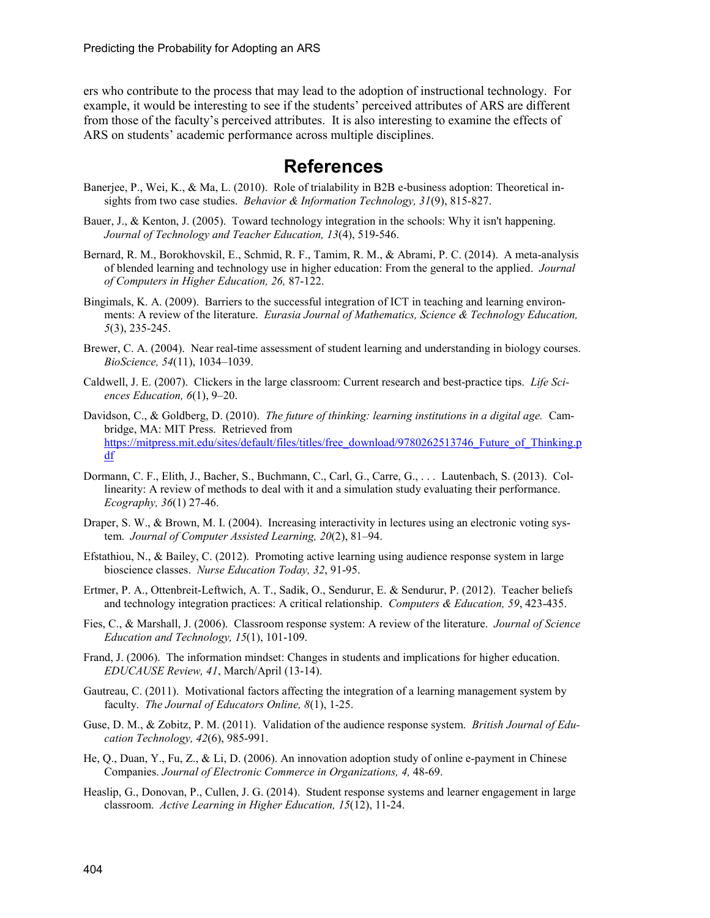ers who contribute to the process that may lead to the adoption of instructional technology. For example, it would be interesting to see if the students' perceived attributes of ARS are different from those of the faculty's perceived attributes. It is also interesting to examine the effects of ARS on students' academic performance across multiple disciplines.

#### **References**

- Banerjee, P., Wei, K., & Ma, L. (2010). Role of trialability in B2B e-business adoption: Theoretical insights from two case studies. *Behavior & Information Technology, 31*(9), 815-827.
- Bauer, J., & Kenton, J. (2005). Toward technology integration in the schools: Why it isn't happening. *Journal of Technology and Teacher Education, 13*(4), 519-546.
- Bernard, R. M., Borokhovskil, E., Schmid, R. F., Tamim, R. M., & Abrami, P. C. (2014). A meta-analysis of blended learning and technology use in higher education: From the general to the applied. *Journal of Computers in Higher Education, 26,* 87-122.
- Bingimals, K. A. (2009). Barriers to the successful integration of ICT in teaching and learning environments: A review of the literature. *Eurasia Journal of Mathematics, Science & Technology Education, 5*(3), 235-245.
- Brewer, C. A. (2004). Near real-time assessment of student learning and understanding in biology courses. *BioScience, 54*(11), 1034–1039.
- Caldwell, J. E. (2007). Clickers in the large classroom: Current research and best-practice tips. *Life Sciences Education, 6*(1), 9–20.
- Davidson, C., & Goldberg, D. (2010). *The future of thinking: learning institutions in a digital age.* Cambridge, MA: MIT Press. Retrieved from [https://mitpress.mit.edu/sites/default/files/titles/free\\_download/9780262513746\\_Future\\_of\\_Thinking.p](https://mitpress.mit.edu/sites/default/files/titles/free_download/9780262513746_Future_of_Thinking.pdf) [df](https://mitpress.mit.edu/sites/default/files/titles/free_download/9780262513746_Future_of_Thinking.pdf)
- Dormann, C. F., Elith, J., Bacher, S., Buchmann, C., Carl, G., Carre, G., . . . Lautenbach, S. (2013). Collinearity: A review of methods to deal with it and a simulation study evaluating their performance. *Ecography, 36*(1) 27-46.
- Draper, S. W., & Brown, M. I. (2004). Increasing interactivity in lectures using an electronic voting system. *Journal of Computer Assisted Learning, 20*(2), 81–94.
- Efstathiou, N., & Bailey, C. (2012). Promoting active learning using audience response system in large bioscience classes. *Nurse Education Today, 32*, 91-95.
- Ertmer, P. A., Ottenbreit-Leftwich, A. T., Sadik, O., Sendurur, E. & Sendurur, P. (2012). Teacher beliefs and technology integration practices: A critical relationship. *Computers & Education, 59*, 423-435.
- Fies, C., & Marshall, J. (2006). Classroom response system: A review of the literature. *Journal of Science Education and Technology, 15*(1), 101-109.
- Frand, J. (2006). The information mindset: Changes in students and implications for higher education. *EDUCAUSE Review, 41*, March/April (13-14).
- Gautreau, C. (2011). Motivational factors affecting the integration of a learning management system by faculty. *The Journal of Educators Online, 8*(1), 1-25.
- Guse, D. M., & Zobitz, P. M. (2011). Validation of the audience response system. *British Journal of Education Technology, 42*(6), 985-991.
- He, Q., Duan, Y., Fu, Z., & Li, D. (2006). An innovation adoption study of online e-payment in Chinese Companies. *Journal of Electronic Commerce in Organizations, 4,* 48-69.
- Heaslip, G., Donovan, P., Cullen, J. G. (2014). Student response systems and learner engagement in large classroom. *Active Learning in Higher Education, 15*(12), 11-24.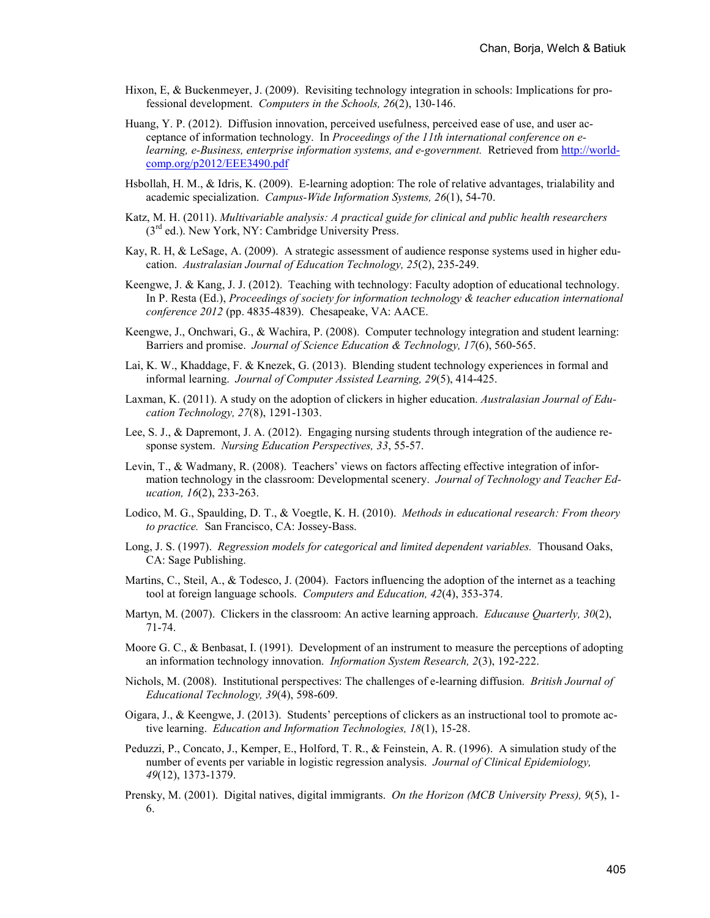- Hixon, E, & Buckenmeyer, J. (2009). Revisiting technology integration in schools: Implications for professional development. *Computers in the Schools, 26*(2), 130-146.
- Huang, Y. P. (2012). Diffusion innovation, perceived usefulness, perceived ease of use, and user acceptance of information technology. In *Proceedings of the 11th international conference on elearning, e-Business, enterprise information systems, and e-government.* Retrieved from [http://world](http://world-comp.org/p2012/EEE3490.pdf)[comp.org/p2012/EEE3490.pdf](http://world-comp.org/p2012/EEE3490.pdf)
- Hsbollah, H. M., & Idris, K. (2009). E-learning adoption: The role of relative advantages, trialability and academic specialization. *Campus-Wide Information Systems, 26*(1), 54-70.
- Katz, M. H. (2011). *Multivariable analysis: A practical guide for clinical and public health researchers*  $(3<sup>rd</sup>$  ed.). New York, NY: Cambridge University Press.
- Kay, R. H, & LeSage, A. (2009). A strategic assessment of audience response systems used in higher education. *Australasian Journal of Education Technology, 25*(2), 235-249.
- Keengwe, J. & Kang, J. J. (2012). Teaching with technology: Faculty adoption of educational technology. In P. Resta (Ed.), *Proceedings of society for information technology & teacher education international conference 2012* (pp. 4835-4839). Chesapeake, VA: AACE.
- Keengwe, J., Onchwari, G., & Wachira, P. (2008). Computer technology integration and student learning: Barriers and promise. *Journal of Science Education & Technology, 17*(6), 560-565.
- Lai, K. W., Khaddage, F. & Knezek, G. (2013). Blending student technology experiences in formal and informal learning. *Journal of Computer Assisted Learning, 29*(5), 414-425.
- Laxman, K. (2011). A study on the adoption of clickers in higher education. *Australasian Journal of Education Technology, 27*(8), 1291-1303.
- Lee, S. J., & Dapremont, J. A. (2012). Engaging nursing students through integration of the audience response system. *Nursing Education Perspectives, 33*, 55-57.
- Levin, T., & Wadmany, R. (2008). Teachers' views on factors affecting effective integration of information technology in the classroom: Developmental scenery. *Journal of Technology and Teacher Education, 16*(2), 233-263.
- Lodico, M. G., Spaulding, D. T., & Voegtle, K. H. (2010). *Methods in educational research: From theory to practice.* San Francisco, CA: Jossey-Bass.
- Long, J. S. (1997). *Regression models for categorical and limited dependent variables.* Thousand Oaks, CA: Sage Publishing.
- Martins, C., Steil, A., & Todesco, J. (2004). Factors influencing the adoption of the internet as a teaching tool at foreign language schools. *Computers and Education, 42*(4), 353-374.
- Martyn, M. (2007). Clickers in the classroom: An active learning approach. *Educause Quarterly, 30*(2), 71-74.
- Moore G. C., & Benbasat, I. (1991). Development of an instrument to measure the perceptions of adopting an information technology innovation. *Information System Research, 2*(3), 192-222.
- Nichols, M. (2008). Institutional perspectives: The challenges of e-learning diffusion. *British Journal of Educational Technology, 39*(4), 598-609.
- Oigara, J., & Keengwe, J. (2013). Students' perceptions of clickers as an instructional tool to promote active learning. *Education and Information Technologies, 18*(1), 15-28.
- Peduzzi, P., Concato, J., Kemper, E., Holford, T. R., & Feinstein, A. R. (1996). A simulation study of the number of events per variable in logistic regression analysis. *Journal of Clinical Epidemiology, 49*(12), 1373-1379.
- Prensky, M. (2001). Digital natives, digital immigrants. *On the Horizon (MCB University Press), 9*(5), 1- 6.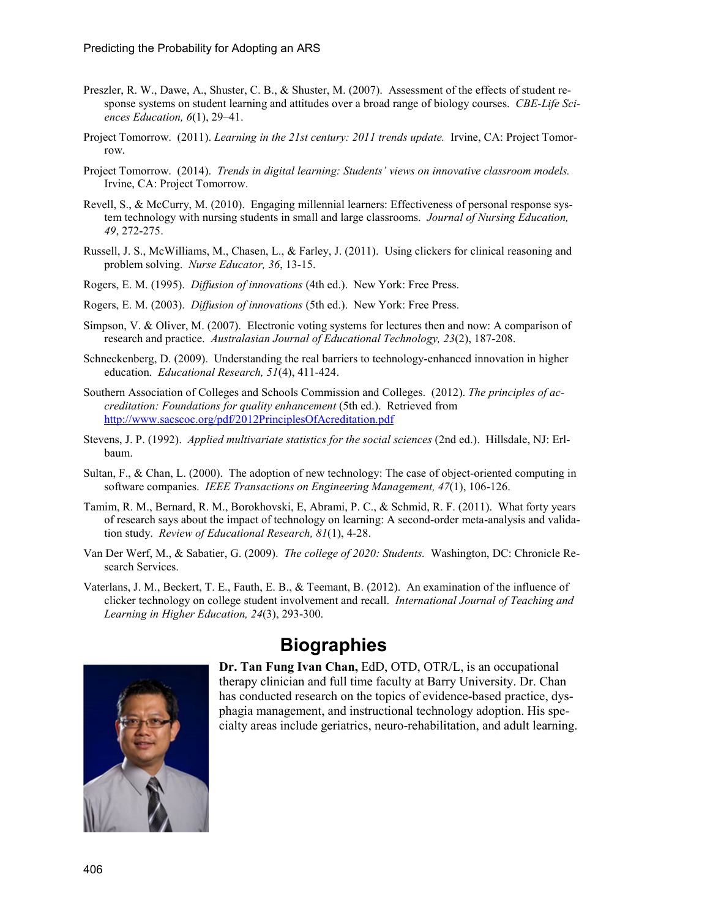- Preszler, R. W., Dawe, A., Shuster, C. B., & Shuster, M. (2007). Assessment of the effects of student response systems on student learning and attitudes over a broad range of biology courses. *CBE-Life Sciences Education, 6*(1), 29–41.
- Project Tomorrow. (2011). *Learning in the 21st century: 2011 trends update.* Irvine, CA: Project Tomorrow.
- Project Tomorrow. (2014). *Trends in digital learning: Students' views on innovative classroom models.*  Irvine, CA: Project Tomorrow.
- Revell, S., & McCurry, M. (2010). Engaging millennial learners: Effectiveness of personal response system technology with nursing students in small and large classrooms. *Journal of Nursing Education, 49*, 272-275.
- Russell, J. S., McWilliams, M., Chasen, L., & Farley, J. (2011). Using clickers for clinical reasoning and problem solving. *Nurse Educator, 36*, 13-15.
- Rogers, E. M. (1995). *Diffusion of innovations* (4th ed.). New York: Free Press.
- Rogers, E. M. (2003). *Diffusion of innovations* (5th ed.). New York: Free Press.
- Simpson, V. & Oliver, M. (2007). Electronic voting systems for lectures then and now: A comparison of research and practice. *Australasian Journal of Educational Technology, 23*(2), 187-208.
- Schneckenberg, D. (2009). Understanding the real barriers to technology-enhanced innovation in higher education. *Educational Research, 51*(4), 411-424.
- Southern Association of Colleges and Schools Commission and Colleges. (2012). *The principles of accreditation: Foundations for quality enhancement* (5th ed.). Retrieved from <http://www.sacscoc.org/pdf/2012PrinciplesOfAcreditation.pdf>
- Stevens, J. P. (1992). *Applied multivariate statistics for the social sciences* (2nd ed.). Hillsdale, NJ: Erlbaum.
- Sultan, F., & Chan, L. (2000). The adoption of new technology: The case of object-oriented computing in software companies. *IEEE Transactions on Engineering Management, 47*(1), 106-126.
- Tamim, R. M., Bernard, R. M., Borokhovski, E, Abrami, P. C., & Schmid, R. F. (2011). What forty years of research says about the impact of technology on learning: A second-order meta-analysis and validation study. *Review of Educational Research, 81*(1), 4-28.
- Van Der Werf, M., & Sabatier, G. (2009). *The college of 2020: Students.* Washington, DC: Chronicle Research Services.
- Vaterlans, J. M., Beckert, T. E., Fauth, E. B., & Teemant, B. (2012). An examination of the influence of clicker technology on college student involvement and recall. *International Journal of Teaching and Learning in Higher Education, 24*(3), 293-300.



## **Biographies**

**Dr. Tan Fung Ivan Chan,** EdD, OTD, OTR/L, is an occupational therapy clinician and full time faculty at Barry University. Dr. Chan has conducted research on the topics of evidence-based practice, dysphagia management, and instructional technology adoption. His specialty areas include geriatrics, neuro-rehabilitation, and adult learning.